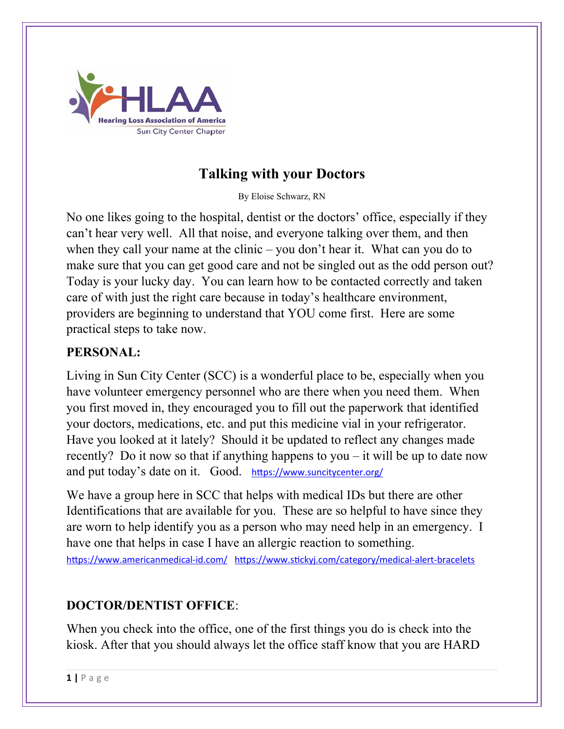

# **Talking with your Doctors**

By Eloise Schwarz, RN

No one likes going to the hospital, dentist or the doctors' office, especially if they can't hear very well. All that noise, and everyone talking over them, and then when they call your name at the clinic – you don't hear it. What can you do to make sure that you can get good care and not be singled out as the odd person out? Today is your lucky day. You can learn how to be contacted correctly and taken care of with just the right care because in today's healthcare environment, providers are beginning to understand that YOU come first. Here are some practical steps to take now.

#### **PERSONAL:**

Living in Sun City Center (SCC) is a wonderful place to be, especially when you have volunteer emergency personnel who are there when you need them. When you first moved in, they encouraged you to fill out the paperwork that identified your doctors, medications, etc. and put this medicine vial in your refrigerator. Have you looked at it lately? Should it be updated to reflect any changes made recently? Do it now so that if anything happens to you – it will be up to date now and put today's date on it. Good. <https://www.suncitycenter.org/>

We have a group here in SCC that helps with medical IDs but there are other Identifications that are available for you. These are so helpful to have since they are worn to help identify you as a person who may need help in an emergency. I have one that helps in case I have an allergic reaction to something.

<https://www.americanmedical-id.com/> <https://www.stickyj.com/category/medical-alert-bracelets>

## **DOCTOR/DENTIST OFFICE**:

When you check into the office, one of the first things you do is check into the kiosk. After that you should always let the office staff know that you are HARD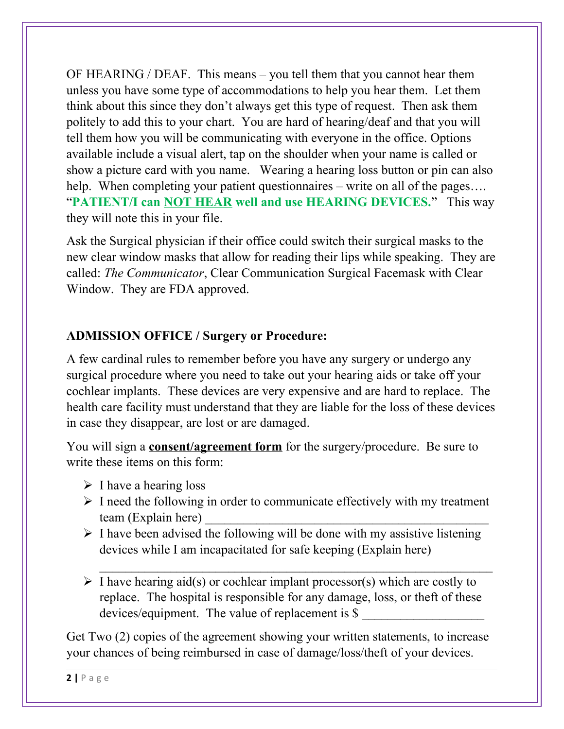OF HEARING / DEAF. This means – you tell them that you cannot hear them unless you have some type of accommodations to help you hear them. Let them think about this since they don't always get this type of request. Then ask them politely to add this to your chart. You are hard of hearing/deaf and that you will tell them how you will be communicating with everyone in the office. Options available include a visual alert, tap on the shoulder when your name is called or show a picture card with you name. Wearing a hearing loss button or pin can also help. When completing your patient questionnaires – write on all of the pages.... "**PATIENT/I can NOT HEAR well and use HEARING DEVICES.**" This way they will note this in your file.

Ask the Surgical physician if their office could switch their surgical masks to the new clear window masks that allow for reading their lips while speaking. They are called: *The Communicator*, Clear Communication Surgical Facemask with Clear Window. They are FDA approved.

## **ADMISSION OFFICE / Surgery or Procedure:**

A few cardinal rules to remember before you have any surgery or undergo any surgical procedure where you need to take out your hearing aids or take off your cochlear implants. These devices are very expensive and are hard to replace. The health care facility must understand that they are liable for the loss of these devices in case they disappear, are lost or are damaged.

You will sign a **consent/agreement form** for the surgery/procedure. Be sure to write these items on this form:

- $\triangleright$  I have a hearing loss
- $\triangleright$  I need the following in order to communicate effectively with my treatment team (Explain here)
- $\triangleright$  I have been advised the following will be done with my assistive listening devices while I am incapacitated for safe keeping (Explain here)
- $\triangleright$  I have hearing aid(s) or cochlear implant processor(s) which are costly to replace. The hospital is responsible for any damage, loss, or theft of these devices/equipment. The value of replacement is \$

 $\mathcal{L}_\text{max}$  , and the contract of the contract of the contract of the contract of the contract of the contract of

Get Two (2) copies of the agreement showing your written statements, to increase your chances of being reimbursed in case of damage/loss/theft of your devices.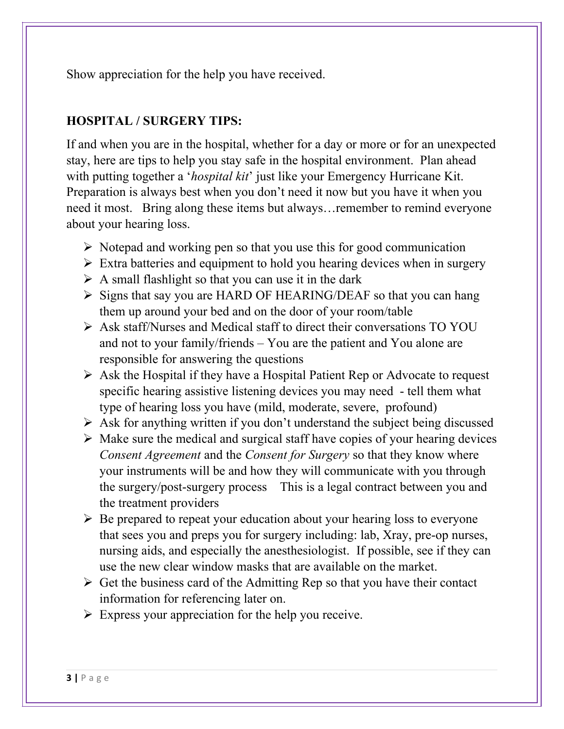Show appreciation for the help you have received.

### **HOSPITAL / SURGERY TIPS:**

If and when you are in the hospital, whether for a day or more or for an unexpected stay, here are tips to help you stay safe in the hospital environment. Plan ahead with putting together a '*hospital kit*' just like your Emergency Hurricane Kit. Preparation is always best when you don't need it now but you have it when you need it most. Bring along these items but always…remember to remind everyone about your hearing loss.

- $\triangleright$  Notepad and working pen so that you use this for good communication
- $\triangleright$  Extra batteries and equipment to hold you hearing devices when in surgery
- $\triangleright$  A small flashlight so that you can use it in the dark
- $\triangleright$  Signs that say you are HARD OF HEARING/DEAF so that you can hang them up around your bed and on the door of your room/table
- Ask staff/Nurses and Medical staff to direct their conversations TO YOU and not to your family/friends – You are the patient and You alone are responsible for answering the questions
- $\triangleright$  Ask the Hospital if they have a Hospital Patient Rep or Advocate to request specific hearing assistive listening devices you may need - tell them what type of hearing loss you have (mild, moderate, severe, profound)
- $\triangleright$  Ask for anything written if you don't understand the subject being discussed
- $\triangleright$  Make sure the medical and surgical staff have copies of your hearing devices *Consent Agreement* and the *Consent for Surgery* so that they know where your instruments will be and how they will communicate with you through the surgery/post-surgery process This is a legal contract between you and the treatment providers
- $\triangleright$  Be prepared to repeat your education about your hearing loss to everyone that sees you and preps you for surgery including: lab, Xray, pre-op nurses, nursing aids, and especially the anesthesiologist. If possible, see if they can use the new clear window masks that are available on the market.
- $\triangleright$  Get the business card of the Admitting Rep so that you have their contact information for referencing later on.
- $\triangleright$  Express your appreciation for the help you receive.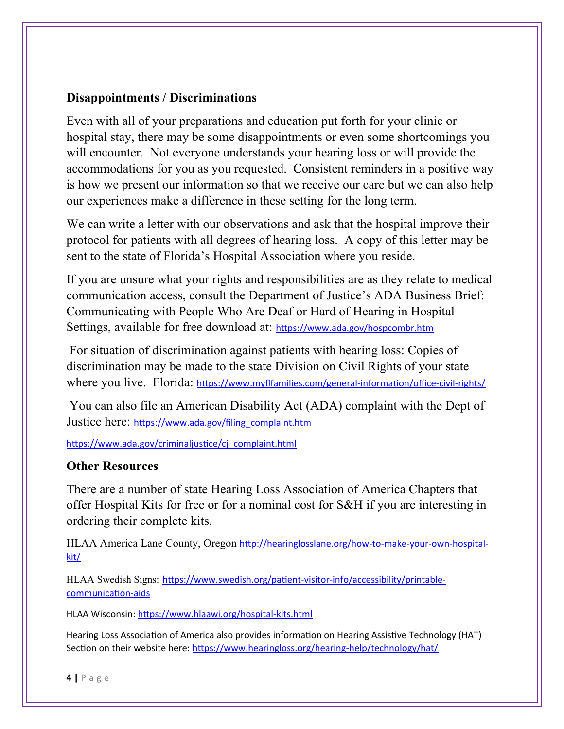#### **Disappointments / Discriminations**

Even with all of your preparations and education put forth for your clinic or hospital stay, there may be some disappointments or even some shortcomings you will encounter. Not everyone understands your hearing loss or will provide the accommodations for you as you requested. Consistent reminders in a positive way is how we present our information so that we receive our care but we can also help our experiences make a difference in these setting for the long term.

We can write a letter with our observations and ask that the hospital improve their protocol for patients with all degrees of hearing loss. A copy of this letter may be sent to the state of Florida's Hospital Association where you reside.

If you are unsure what your rights and responsibilities are as they relate to medical communication access, consult the Department of Justice's ADA Business Brief: Communicating with People Who Are Deaf or Hard of Hearing in Hospital Settings, available for free download at: <https://www.ada.gov/hospcombr.htm>

 For situation of discrimination against patients with hearing loss: Copies of discrimination may be made to the state Division on Civil Rights of your state where you live. Florida: <https://www.myflfamilies.com/general-information/office-civil-rights/>

 You can also file an American Disability Act (ADA) complaint with the Dept of Justice here: [https://www.ada.gov/filing\\_complaint.htm](https://www.ada.gov/filing_complaint.htm)

[https://www.ada.gov/criminaljustice/cj\\_complaint.html](https://www.ada.gov/criminaljustice/cj_complaint.html)

#### **Other Resources**

There are a number of state Hearing Loss Association of America Chapters that offer Hospital Kits for free or for a nominal cost for S&H if you are interesting in ordering their complete kits.

HLAA America Lane County, Oregon [http://hearinglosslane.org/how-to-make-your-own-hospital](http://hearinglosslane.org/how-to-make-your-own-hospital-kit/)[kit/](http://hearinglosslane.org/how-to-make-your-own-hospital-kit/)

HLAA Swedish Signs: [https://www.swedish.org/patient-visitor-info/accessibility/printable](https://www.swedish.org/patient-visitor-info/accessibility/printable-communication-aids)[communication-aids](https://www.swedish.org/patient-visitor-info/accessibility/printable-communication-aids)

HLAA Wisconsin: <https://www.hlaawi.org/hospital-kits.html>

Hearing Loss Association of America also provides information on Hearing Assistive Technology (HAT) Section on their website here: <https://www.hearingloss.org/hearing-help/technology/hat/>